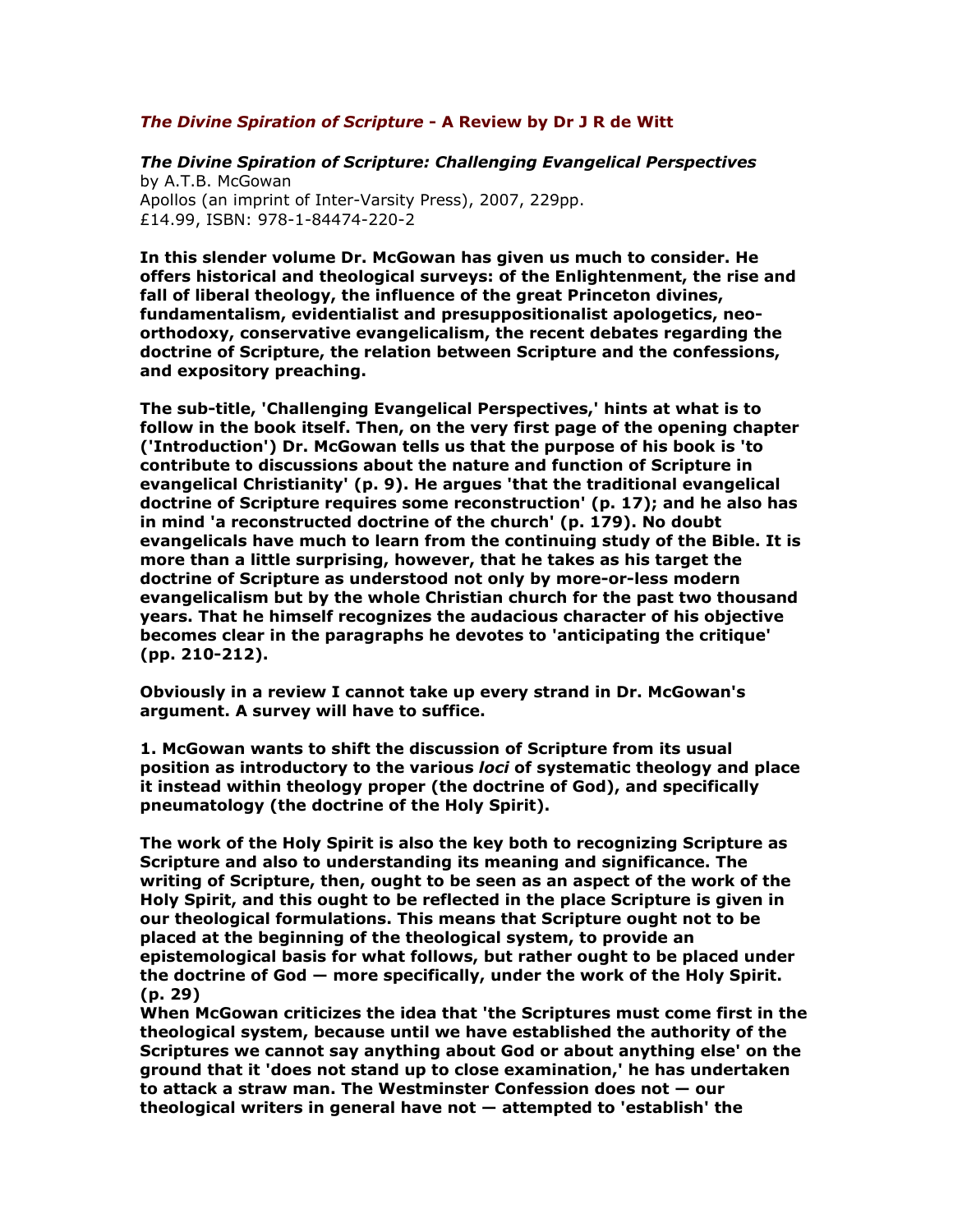## The Divine Spiration of Scripture - A Review by Dr J R de Witt

The Divine Spiration of Scripture: Challenging Evangelical Perspectives by A.T.B. McGowan Apollos (an imprint of Inter-Varsity Press), 2007, 229pp. £14.99, ISBN: 978-1-84474-220-2

In this slender volume Dr. McGowan has given us much to consider. He offers historical and theological surveys: of the Enlightenment, the rise and fall of liberal theology, the influence of the great Princeton divines, fundamentalism, evidentialist and presuppositionalist apologetics, neoorthodoxy, conservative evangelicalism, the recent debates regarding the doctrine of Scripture, the relation between Scripture and the confessions, and expository preaching.

The sub-title, 'Challenging Evangelical Perspectives,' hints at what is to follow in the book itself. Then, on the very first page of the opening chapter ('Introduction') Dr. McGowan tells us that the purpose of his book is 'to contribute to discussions about the nature and function of Scripture in evangelical Christianity' (p. 9). He argues 'that the traditional evangelical doctrine of Scripture requires some reconstruction' (p. 17); and he also has in mind 'a reconstructed doctrine of the church' (p. 179). No doubt evangelicals have much to learn from the continuing study of the Bible. It is more than a little surprising, however, that he takes as his target the doctrine of Scripture as understood not only by more-or-less modern evangelicalism but by the whole Christian church for the past two thousand years. That he himself recognizes the audacious character of his objective becomes clear in the paragraphs he devotes to 'anticipating the critique' (pp. 210-212).

Obviously in a review I cannot take up every strand in Dr. McGowan's argument. A survey will have to suffice.

1. McGowan wants to shift the discussion of Scripture from its usual position as introductory to the various loci of systematic theology and place it instead within theology proper (the doctrine of God), and specifically pneumatology (the doctrine of the Holy Spirit).

The work of the Holy Spirit is also the key both to recognizing Scripture as Scripture and also to understanding its meaning and significance. The writing of Scripture, then, ought to be seen as an aspect of the work of the Holy Spirit, and this ought to be reflected in the place Scripture is given in our theological formulations. This means that Scripture ought not to be placed at the beginning of the theological system, to provide an epistemological basis for what follows, but rather ought to be placed under the doctrine of God — more specifically, under the work of the Holy Spirit. (p. 29)

When McGowan criticizes the idea that 'the Scriptures must come first in the theological system, because until we have established the authority of the Scriptures we cannot say anything about God or about anything else' on the ground that it 'does not stand up to close examination,' he has undertaken to attack a straw man. The Westminster Confession does not — our theological writers in general have not — attempted to 'establish' the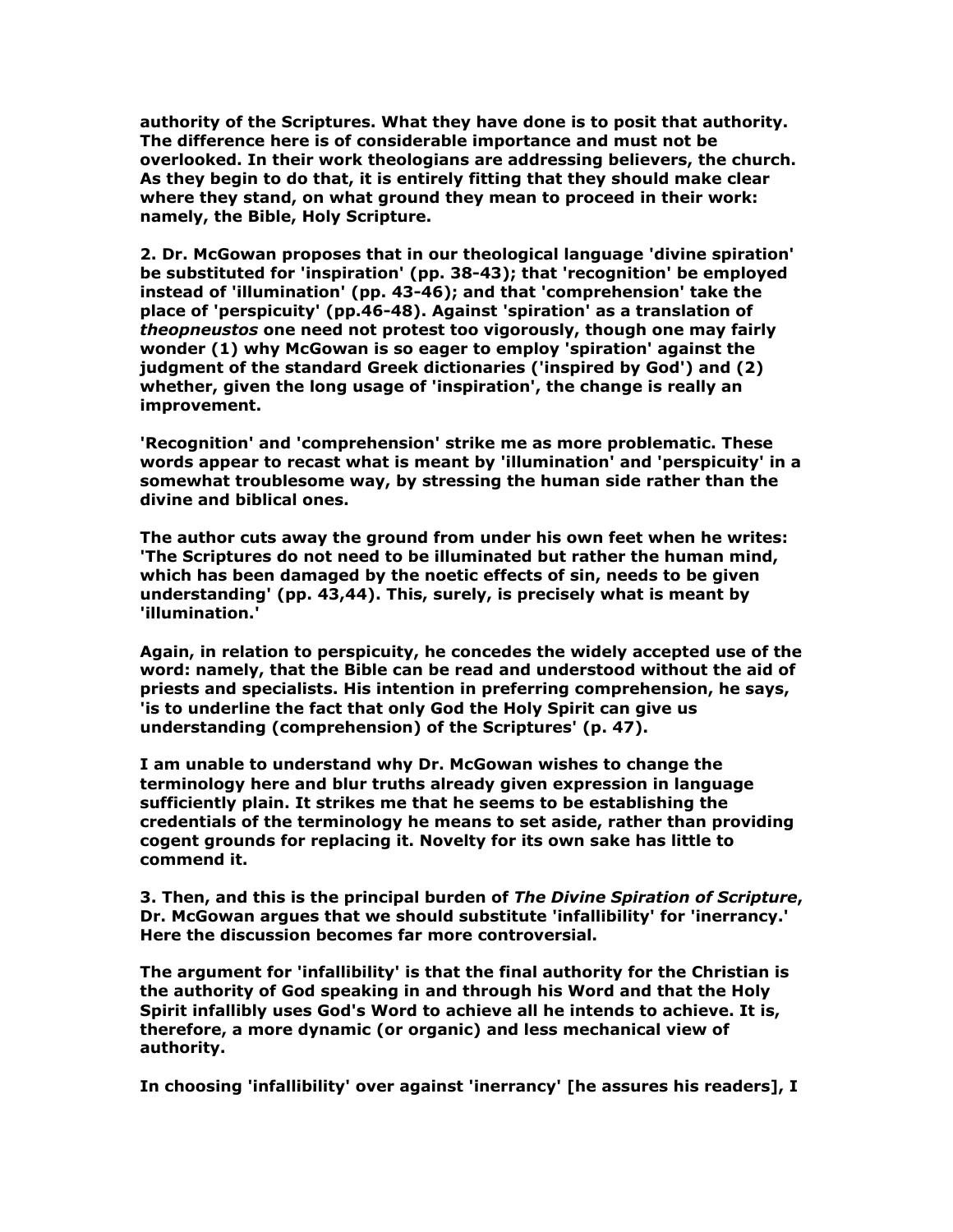authority of the Scriptures. What they have done is to posit that authority. The difference here is of considerable importance and must not be overlooked. In their work theologians are addressing believers, the church. As they begin to do that, it is entirely fitting that they should make clear where they stand, on what ground they mean to proceed in their work: namely, the Bible, Holy Scripture.

2. Dr. McGowan proposes that in our theological language 'divine spiration' be substituted for 'inspiration' (pp. 38-43); that 'recognition' be employed instead of 'illumination' (pp. 43-46); and that 'comprehension' take the place of 'perspicuity' (pp.46-48). Against 'spiration' as a translation of theopneustos one need not protest too vigorously, though one may fairly wonder (1) why McGowan is so eager to employ 'spiration' against the judgment of the standard Greek dictionaries ('inspired by God') and (2) whether, given the long usage of 'inspiration', the change is really an improvement.

'Recognition' and 'comprehension' strike me as more problematic. These words appear to recast what is meant by 'illumination' and 'perspicuity' in a somewhat troublesome way, by stressing the human side rather than the divine and biblical ones.

The author cuts away the ground from under his own feet when he writes: 'The Scriptures do not need to be illuminated but rather the human mind, which has been damaged by the noetic effects of sin, needs to be given understanding' (pp. 43,44). This, surely, is precisely what is meant by 'illumination.'

Again, in relation to perspicuity, he concedes the widely accepted use of the word: namely, that the Bible can be read and understood without the aid of priests and specialists. His intention in preferring comprehension, he says, 'is to underline the fact that only God the Holy Spirit can give us understanding (comprehension) of the Scriptures' (p. 47).

I am unable to understand why Dr. McGowan wishes to change the terminology here and blur truths already given expression in language sufficiently plain. It strikes me that he seems to be establishing the credentials of the terminology he means to set aside, rather than providing cogent grounds for replacing it. Novelty for its own sake has little to commend it.

3. Then, and this is the principal burden of The Divine Spiration of Scripture, Dr. McGowan argues that we should substitute 'infallibility' for 'inerrancy.' Here the discussion becomes far more controversial.

The argument for 'infallibility' is that the final authority for the Christian is the authority of God speaking in and through his Word and that the Holy Spirit infallibly uses God's Word to achieve all he intends to achieve. It is, therefore, a more dynamic (or organic) and less mechanical view of authority.

In choosing 'infallibility' over against 'inerrancy' [he assures his readers], I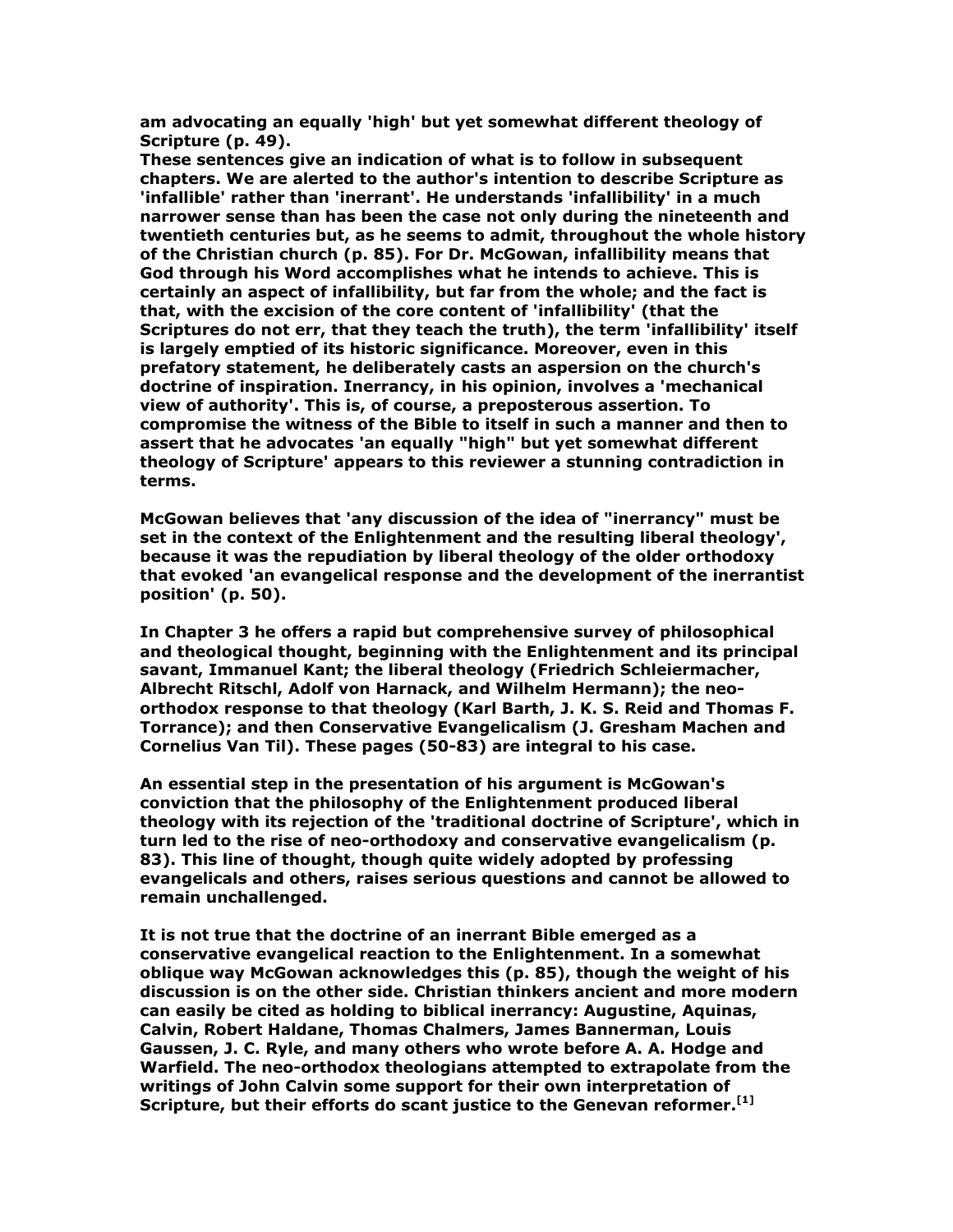am advocating an equally 'high' but yet somewhat different theology of Scripture (p. 49).

These sentences give an indication of what is to follow in subsequent chapters. We are alerted to the author's intention to describe Scripture as 'infallible' rather than 'inerrant'. He understands 'infallibility' in a much narrower sense than has been the case not only during the nineteenth and twentieth centuries but, as he seems to admit, throughout the whole history of the Christian church (p. 85). For Dr. McGowan, infallibility means that God through his Word accomplishes what he intends to achieve. This is certainly an aspect of infallibility, but far from the whole; and the fact is that, with the excision of the core content of 'infallibility' (that the Scriptures do not err, that they teach the truth), the term 'infallibility' itself is largely emptied of its historic significance. Moreover, even in this prefatory statement, he deliberately casts an aspersion on the church's doctrine of inspiration. Inerrancy, in his opinion, involves a 'mechanical view of authority'. This is, of course, a preposterous assertion. To compromise the witness of the Bible to itself in such a manner and then to assert that he advocates 'an equally "high" but yet somewhat different theology of Scripture' appears to this reviewer a stunning contradiction in terms.

McGowan believes that 'any discussion of the idea of "inerrancy" must be set in the context of the Enlightenment and the resulting liberal theology', because it was the repudiation by liberal theology of the older orthodoxy that evoked 'an evangelical response and the development of the inerrantist position' (p. 50).

In Chapter 3 he offers a rapid but comprehensive survey of philosophical and theological thought, beginning with the Enlightenment and its principal savant, Immanuel Kant; the liberal theology (Friedrich Schleiermacher, Albrecht Ritschl, Adolf von Harnack, and Wilhelm Hermann); the neoorthodox response to that theology (Karl Barth, J. K. S. Reid and Thomas F. Torrance); and then Conservative Evangelicalism (J. Gresham Machen and Cornelius Van Til). These pages (50-83) are integral to his case.

An essential step in the presentation of his argument is McGowan's conviction that the philosophy of the Enlightenment produced liberal theology with its rejection of the 'traditional doctrine of Scripture', which in turn led to the rise of neo-orthodoxy and conservative evangelicalism (p. 83). This line of thought, though quite widely adopted by professing evangelicals and others, raises serious questions and cannot be allowed to remain unchallenged.

It is not true that the doctrine of an inerrant Bible emerged as a conservative evangelical reaction to the Enlightenment. In a somewhat oblique way McGowan acknowledges this (p. 85), though the weight of his discussion is on the other side. Christian thinkers ancient and more modern can easily be cited as holding to biblical inerrancy: Augustine, Aquinas, Calvin, Robert Haldane, Thomas Chalmers, James Bannerman, Louis Gaussen, J. C. Ryle, and many others who wrote before A. A. Hodge and Warfield. The neo-orthodox theologians attempted to extrapolate from the writings of John Calvin some support for their own interpretation of Scripture, but their efforts do scant justice to the Genevan reformer.<sup>[1]</sup>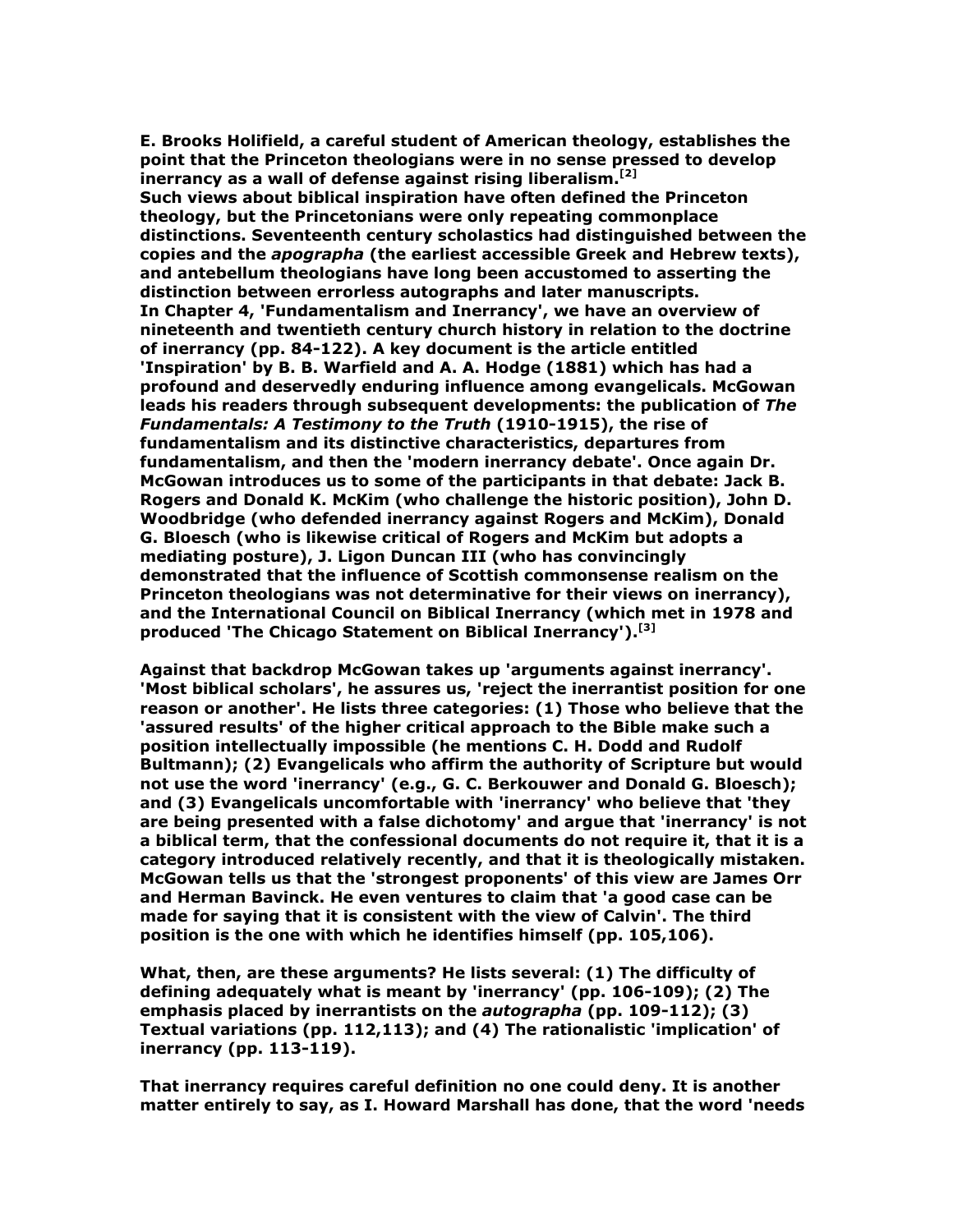E. Brooks Holifield, a careful student of American theology, establishes the point that the Princeton theologians were in no sense pressed to develop inerrancy as a wall of defense against rising liberalism.<sup>[2]</sup> Such views about biblical inspiration have often defined the Princeton theology, but the Princetonians were only repeating commonplace distinctions. Seventeenth century scholastics had distinguished between the copies and the *apographa* (the earliest accessible Greek and Hebrew texts), and antebellum theologians have long been accustomed to asserting the distinction between errorless autographs and later manuscripts. In Chapter 4, 'Fundamentalism and Inerrancy', we have an overview of nineteenth and twentieth century church history in relation to the doctrine of inerrancy (pp. 84-122). A key document is the article entitled 'Inspiration' by B. B. Warfield and A. A. Hodge (1881) which has had a profound and deservedly enduring influence among evangelicals. McGowan leads his readers through subsequent developments: the publication of The Fundamentals: A Testimony to the Truth (1910-1915), the rise of fundamentalism and its distinctive characteristics, departures from fundamentalism, and then the 'modern inerrancy debate'. Once again Dr. McGowan introduces us to some of the participants in that debate: Jack B. Rogers and Donald K. McKim (who challenge the historic position), John D. Woodbridge (who defended inerrancy against Rogers and McKim), Donald G. Bloesch (who is likewise critical of Rogers and McKim but adopts a mediating posture), J. Ligon Duncan III (who has convincingly demonstrated that the influence of Scottish commonsense realism on the Princeton theologians was not determinative for their views on inerrancy), and the International Council on Biblical Inerrancy (which met in 1978 and produced 'The Chicago Statement on Biblical Inerrancy').<sup>[3]</sup>

Against that backdrop McGowan takes up 'arguments against inerrancy'. 'Most biblical scholars', he assures us, 'reject the inerrantist position for one reason or another'. He lists three categories: (1) Those who believe that the 'assured results' of the higher critical approach to the Bible make such a position intellectually impossible (he mentions C. H. Dodd and Rudolf Bultmann); (2) Evangelicals who affirm the authority of Scripture but would not use the word 'inerrancy' (e.g., G. C. Berkouwer and Donald G. Bloesch); and (3) Evangelicals uncomfortable with 'inerrancy' who believe that 'they are being presented with a false dichotomy' and argue that 'inerrancy' is not a biblical term, that the confessional documents do not require it, that it is a category introduced relatively recently, and that it is theologically mistaken. McGowan tells us that the 'strongest proponents' of this view are James Orr and Herman Bavinck. He even ventures to claim that 'a good case can be made for saying that it is consistent with the view of Calvin'. The third position is the one with which he identifies himself (pp. 105,106).

What, then, are these arguments? He lists several: (1) The difficulty of defining adequately what is meant by 'inerrancy' (pp. 106-109); (2) The emphasis placed by inerrantists on the *autographa* (pp. 109-112); (3) Textual variations (pp. 112,113); and (4) The rationalistic 'implication' of inerrancy (pp. 113-119).

That inerrancy requires careful definition no one could deny. It is another matter entirely to say, as I. Howard Marshall has done, that the word 'needs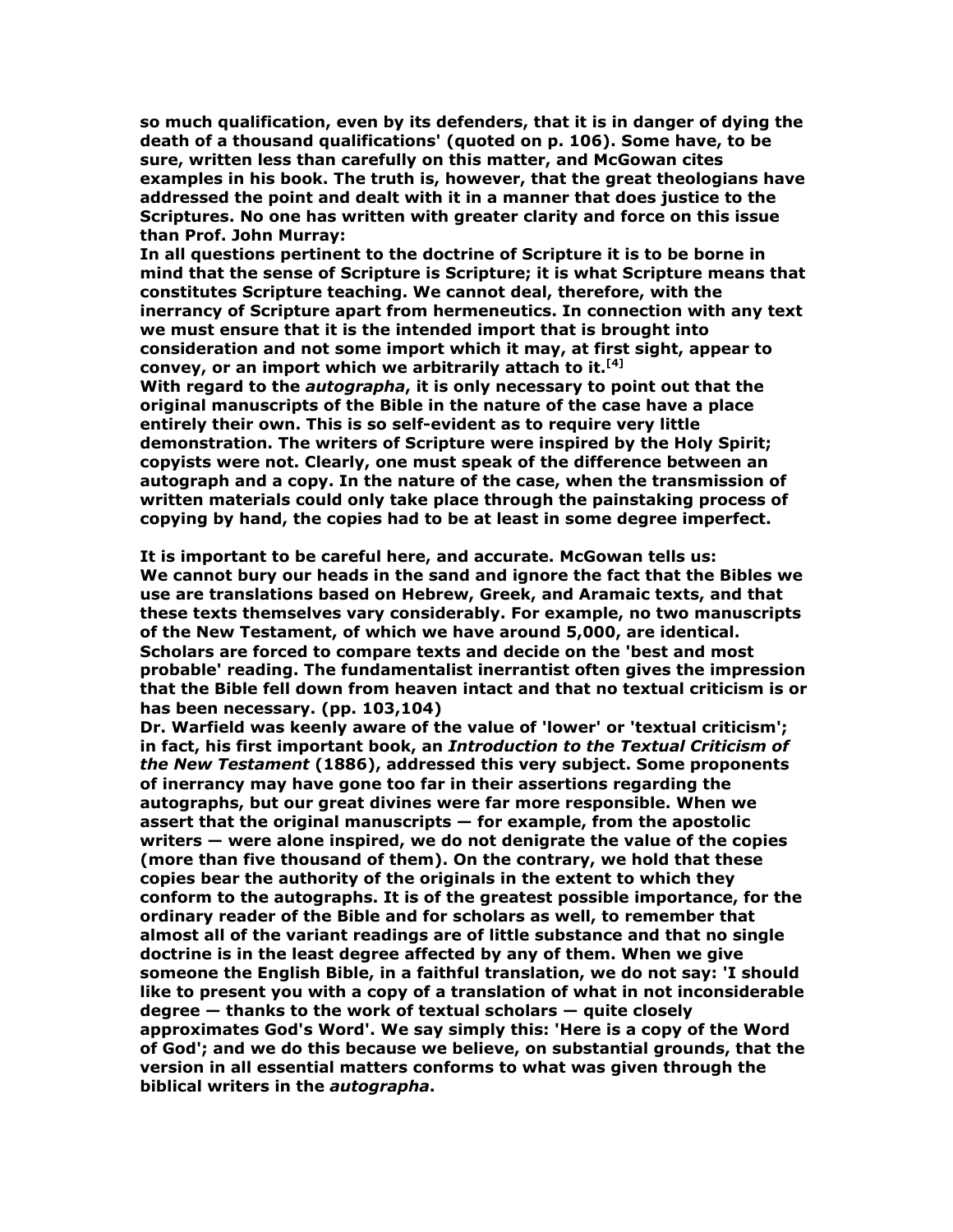so much qualification, even by its defenders, that it is in danger of dying the death of a thousand qualifications' (quoted on p. 106). Some have, to be sure, written less than carefully on this matter, and McGowan cites examples in his book. The truth is, however, that the great theologians have addressed the point and dealt with it in a manner that does justice to the Scriptures. No one has written with greater clarity and force on this issue than Prof. John Murray:

In all questions pertinent to the doctrine of Scripture it is to be borne in mind that the sense of Scripture is Scripture; it is what Scripture means that constitutes Scripture teaching. We cannot deal, therefore, with the inerrancy of Scripture apart from hermeneutics. In connection with any text we must ensure that it is the intended import that is brought into consideration and not some import which it may, at first sight, appear to convey, or an import which we arbitrarily attach to it.  $[4]$ With regard to the *autographa*, it is only necessary to point out that the

original manuscripts of the Bible in the nature of the case have a place entirely their own. This is so self-evident as to require very little demonstration. The writers of Scripture were inspired by the Holy Spirit; copyists were not. Clearly, one must speak of the difference between an autograph and a copy. In the nature of the case, when the transmission of written materials could only take place through the painstaking process of copying by hand, the copies had to be at least in some degree imperfect.

It is important to be careful here, and accurate. McGowan tells us: We cannot bury our heads in the sand and ignore the fact that the Bibles we use are translations based on Hebrew, Greek, and Aramaic texts, and that these texts themselves vary considerably. For example, no two manuscripts of the New Testament, of which we have around 5,000, are identical. Scholars are forced to compare texts and decide on the 'best and most probable' reading. The fundamentalist inerrantist often gives the impression that the Bible fell down from heaven intact and that no textual criticism is or has been necessary. (pp. 103,104)

Dr. Warfield was keenly aware of the value of 'lower' or 'textual criticism'; in fact, his first important book, an Introduction to the Textual Criticism of the New Testament (1886), addressed this very subject. Some proponents of inerrancy may have gone too far in their assertions regarding the autographs, but our great divines were far more responsible. When we assert that the original manuscripts — for example, from the apostolic writers — were alone inspired, we do not denigrate the value of the copies (more than five thousand of them). On the contrary, we hold that these copies bear the authority of the originals in the extent to which they conform to the autographs. It is of the greatest possible importance, for the ordinary reader of the Bible and for scholars as well, to remember that almost all of the variant readings are of little substance and that no single doctrine is in the least degree affected by any of them. When we give someone the English Bible, in a faithful translation, we do not say: 'I should like to present you with a copy of a translation of what in not inconsiderable degree — thanks to the work of textual scholars — quite closely approximates God's Word'. We say simply this: 'Here is a copy of the Word of God'; and we do this because we believe, on substantial grounds, that the version in all essential matters conforms to what was given through the biblical writers in the autographa.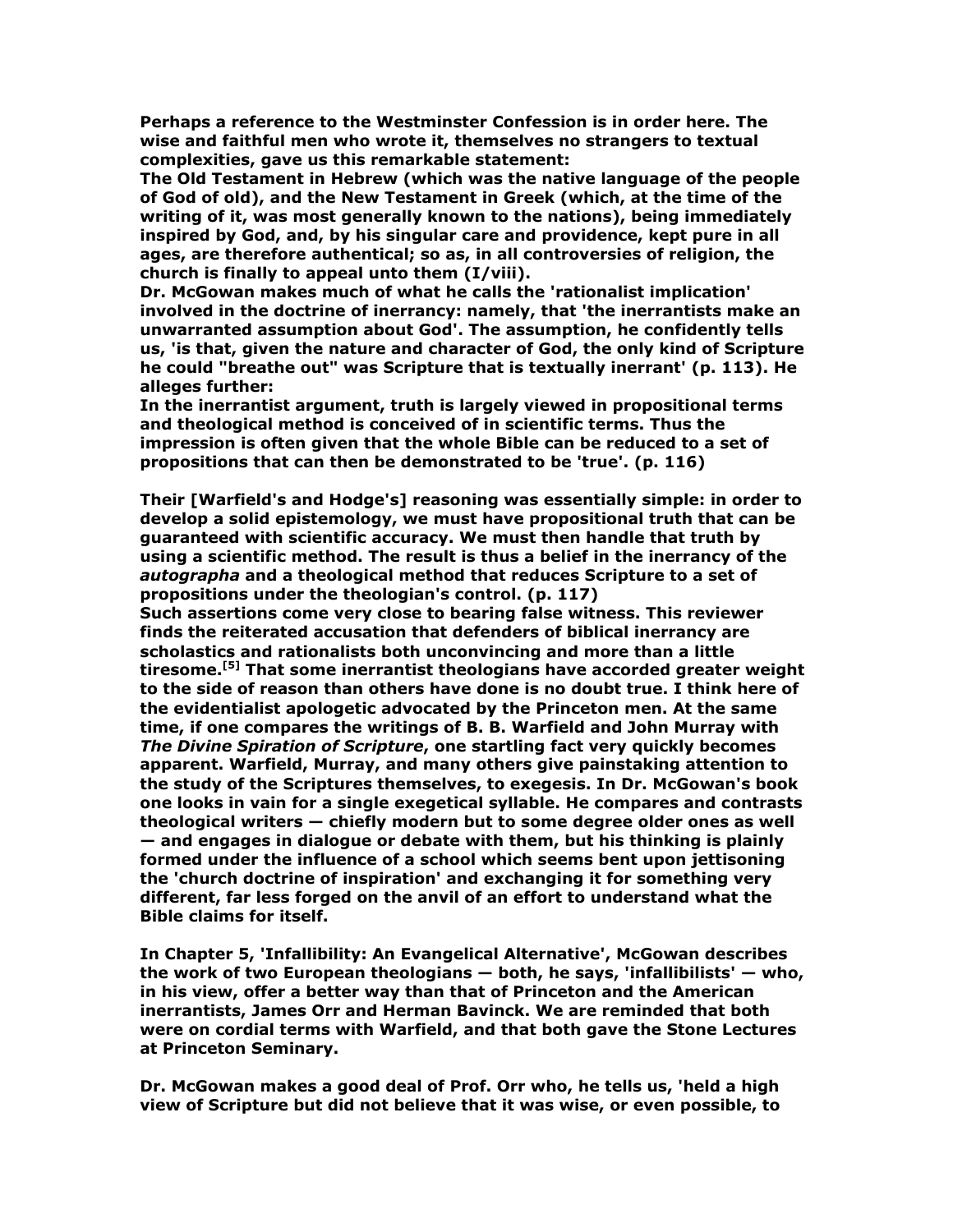Perhaps a reference to the Westminster Confession is in order here. The wise and faithful men who wrote it, themselves no strangers to textual complexities, gave us this remarkable statement:

The Old Testament in Hebrew (which was the native language of the people of God of old), and the New Testament in Greek (which, at the time of the writing of it, was most generally known to the nations), being immediately inspired by God, and, by his singular care and providence, kept pure in all ages, are therefore authentical; so as, in all controversies of religion, the church is finally to appeal unto them (I/viii).

Dr. McGowan makes much of what he calls the 'rationalist implication' involved in the doctrine of inerrancy: namely, that 'the inerrantists make an unwarranted assumption about God'. The assumption, he confidently tells us, 'is that, given the nature and character of God, the only kind of Scripture he could "breathe out" was Scripture that is textually inerrant' (p. 113). He alleges further:

In the inerrantist argument, truth is largely viewed in propositional terms and theological method is conceived of in scientific terms. Thus the impression is often given that the whole Bible can be reduced to a set of propositions that can then be demonstrated to be 'true'. (p. 116)

Their [Warfield's and Hodge's] reasoning was essentially simple: in order to develop a solid epistemology, we must have propositional truth that can be guaranteed with scientific accuracy. We must then handle that truth by using a scientific method. The result is thus a belief in the inerrancy of the autographa and a theological method that reduces Scripture to a set of propositions under the theologian's control. (p. 117)

Such assertions come very close to bearing false witness. This reviewer finds the reiterated accusation that defenders of biblical inerrancy are scholastics and rationalists both unconvincing and more than a little tiresome.<sup>[5]</sup> That some inerrantist theologians have accorded greater weight to the side of reason than others have done is no doubt true. I think here of the evidentialist apologetic advocated by the Princeton men. At the same time, if one compares the writings of B. B. Warfield and John Murray with The Divine Spiration of Scripture, one startling fact very quickly becomes apparent. Warfield, Murray, and many others give painstaking attention to the study of the Scriptures themselves, to exegesis. In Dr. McGowan's book one looks in vain for a single exegetical syllable. He compares and contrasts theological writers — chiefly modern but to some degree older ones as well — and engages in dialogue or debate with them, but his thinking is plainly formed under the influence of a school which seems bent upon jettisoning the 'church doctrine of inspiration' and exchanging it for something very different, far less forged on the anvil of an effort to understand what the Bible claims for itself.

In Chapter 5, 'Infallibility: An Evangelical Alternative', McGowan describes the work of two European theologians — both, he says, 'infallibilists' — who, in his view, offer a better way than that of Princeton and the American inerrantists, James Orr and Herman Bavinck. We are reminded that both were on cordial terms with Warfield, and that both gave the Stone Lectures at Princeton Seminary.

Dr. McGowan makes a good deal of Prof. Orr who, he tells us, 'held a high view of Scripture but did not believe that it was wise, or even possible, to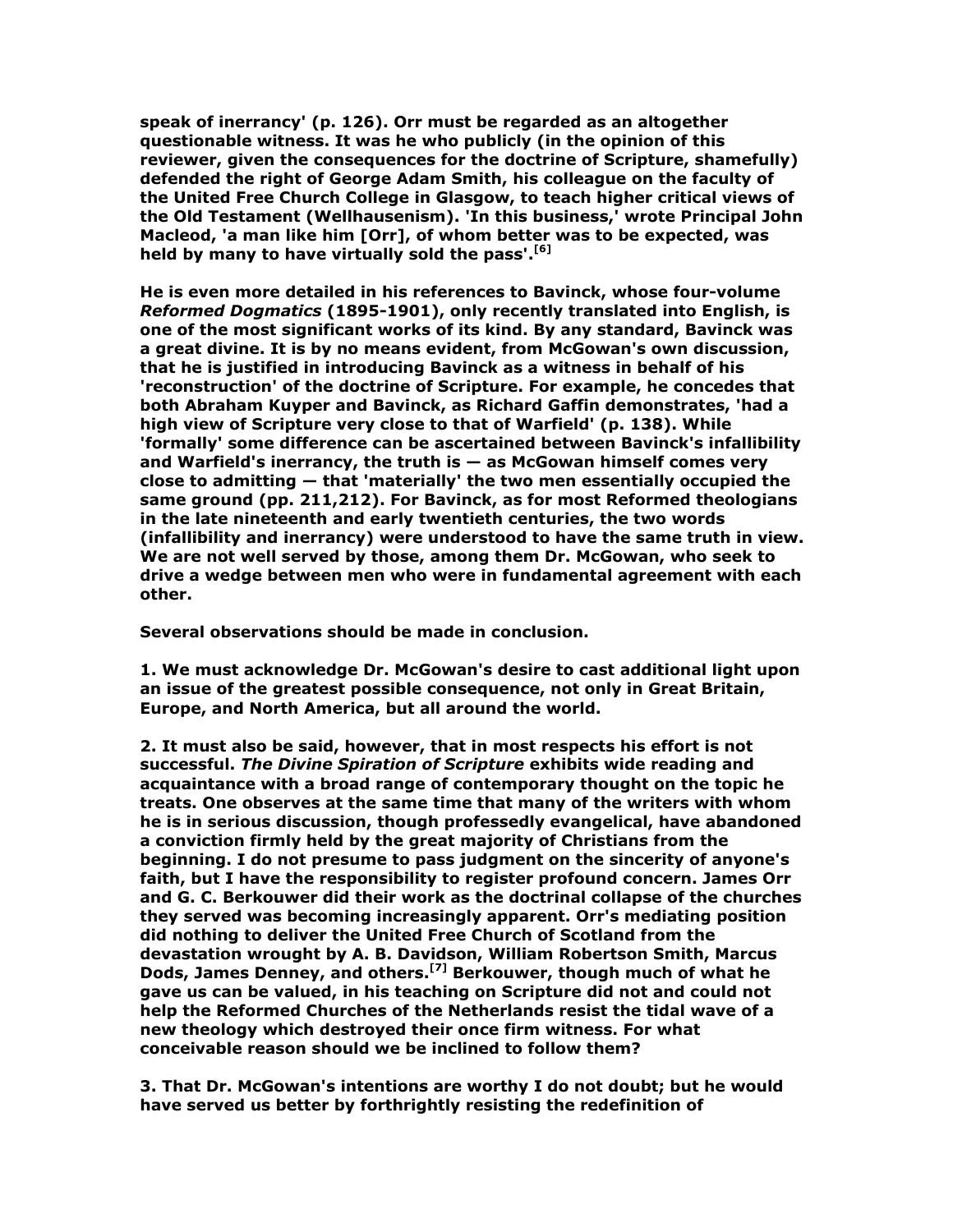speak of inerrancy' (p. 126). Orr must be regarded as an altogether questionable witness. It was he who publicly (in the opinion of this reviewer, given the consequences for the doctrine of Scripture, shamefully) defended the right of George Adam Smith, his colleague on the faculty of the United Free Church College in Glasgow, to teach higher critical views of the Old Testament (Wellhausenism). 'In this business,' wrote Principal John Macleod, 'a man like him [Orr], of whom better was to be expected, was held by many to have virtually sold the pass'.<sup>[6]</sup>

He is even more detailed in his references to Bavinck, whose four-volume Reformed Dogmatics (1895-1901), only recently translated into English, is one of the most significant works of its kind. By any standard, Bavinck was a great divine. It is by no means evident, from McGowan's own discussion, that he is justified in introducing Bavinck as a witness in behalf of his 'reconstruction' of the doctrine of Scripture. For example, he concedes that both Abraham Kuyper and Bavinck, as Richard Gaffin demonstrates, 'had a high view of Scripture very close to that of Warfield' (p. 138). While 'formally' some difference can be ascertained between Bavinck's infallibility and Warfield's inerrancy, the truth is  $-$  as McGowan himself comes very close to admitting — that 'materially' the two men essentially occupied the same ground (pp. 211,212). For Bavinck, as for most Reformed theologians in the late nineteenth and early twentieth centuries, the two words (infallibility and inerrancy) were understood to have the same truth in view. We are not well served by those, among them Dr. McGowan, who seek to drive a wedge between men who were in fundamental agreement with each other.

Several observations should be made in conclusion.

1. We must acknowledge Dr. McGowan's desire to cast additional light upon an issue of the greatest possible consequence, not only in Great Britain, Europe, and North America, but all around the world.

2. It must also be said, however, that in most respects his effort is not successful. The Divine Spiration of Scripture exhibits wide reading and acquaintance with a broad range of contemporary thought on the topic he treats. One observes at the same time that many of the writers with whom he is in serious discussion, though professedly evangelical, have abandoned a conviction firmly held by the great majority of Christians from the beginning. I do not presume to pass judgment on the sincerity of anyone's faith, but I have the responsibility to register profound concern. James Orr and G. C. Berkouwer did their work as the doctrinal collapse of the churches they served was becoming increasingly apparent. Orr's mediating position did nothing to deliver the United Free Church of Scotland from the devastation wrought by A. B. Davidson, William Robertson Smith, Marcus Dods, James Denney, and others.[7] Berkouwer, though much of what he gave us can be valued, in his teaching on Scripture did not and could not help the Reformed Churches of the Netherlands resist the tidal wave of a new theology which destroyed their once firm witness. For what conceivable reason should we be inclined to follow them?

3. That Dr. McGowan's intentions are worthy I do not doubt; but he would have served us better by forthrightly resisting the redefinition of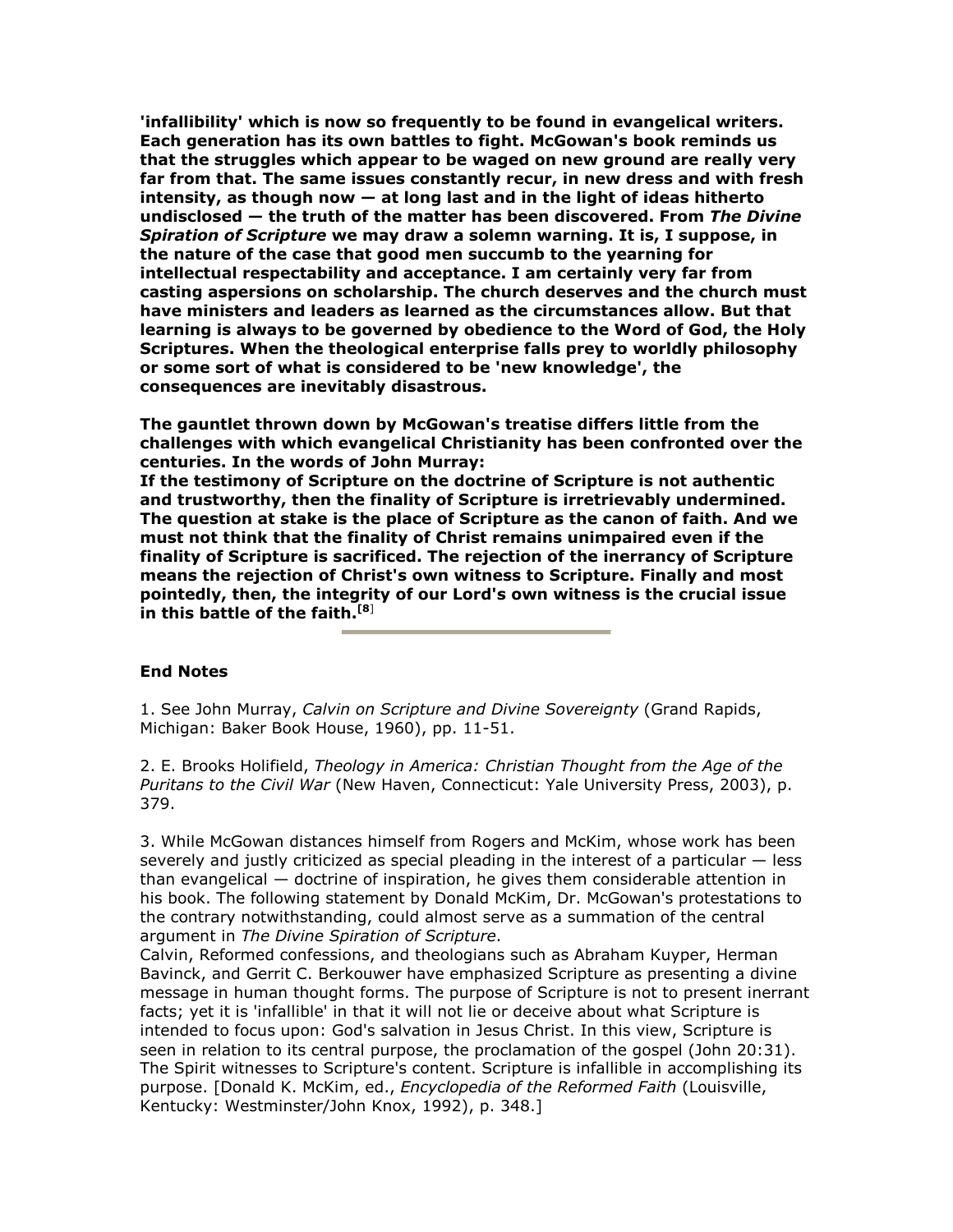'infallibility' which is now so frequently to be found in evangelical writers. Each generation has its own battles to fight. McGowan's book reminds us that the struggles which appear to be waged on new ground are really very far from that. The same issues constantly recur, in new dress and with fresh intensity, as though now — at long last and in the light of ideas hitherto undisclosed — the truth of the matter has been discovered. From The Divine Spiration of Scripture we may draw a solemn warning. It is, I suppose, in the nature of the case that good men succumb to the yearning for intellectual respectability and acceptance. I am certainly very far from casting aspersions on scholarship. The church deserves and the church must have ministers and leaders as learned as the circumstances allow. But that learning is always to be governed by obedience to the Word of God, the Holy Scriptures. When the theological enterprise falls prey to worldly philosophy or some sort of what is considered to be 'new knowledge', the consequences are inevitably disastrous.

The gauntlet thrown down by McGowan's treatise differs little from the challenges with which evangelical Christianity has been confronted over the centuries. In the words of John Murray:

If the testimony of Scripture on the doctrine of Scripture is not authentic and trustworthy, then the finality of Scripture is irretrievably undermined. The question at stake is the place of Scripture as the canon of faith. And we must not think that the finality of Christ remains unimpaired even if the finality of Scripture is sacrificed. The rejection of the inerrancy of Scripture means the rejection of Christ's own witness to Scripture. Finally and most pointedly, then, the integrity of our Lord's own witness is the crucial issue in this battle of the faith.<sup>[8]</sup>

## End Notes

1. See John Murray, Calvin on Scripture and Divine Sovereignty (Grand Rapids, Michigan: Baker Book House, 1960), pp. 11-51.

2. E. Brooks Holifield, Theology in America: Christian Thought from the Age of the Puritans to the Civil War (New Haven, Connecticut: Yale University Press, 2003), p. 379.

3. While McGowan distances himself from Rogers and McKim, whose work has been severely and justly criticized as special pleading in the interest of a particular — less than evangelical — doctrine of inspiration, he gives them considerable attention in his book. The following statement by Donald McKim, Dr. McGowan's protestations to the contrary notwithstanding, could almost serve as a summation of the central argument in The Divine Spiration of Scripture.

Calvin, Reformed confessions, and theologians such as Abraham Kuyper, Herman Bavinck, and Gerrit C. Berkouwer have emphasized Scripture as presenting a divine message in human thought forms. The purpose of Scripture is not to present inerrant facts; yet it is 'infallible' in that it will not lie or deceive about what Scripture is intended to focus upon: God's salvation in Jesus Christ. In this view, Scripture is seen in relation to its central purpose, the proclamation of the gospel (John 20:31). The Spirit witnesses to Scripture's content. Scripture is infallible in accomplishing its purpose. [Donald K. McKim, ed., Encyclopedia of the Reformed Faith (Louisville, Kentucky: Westminster/John Knox, 1992), p. 348.]